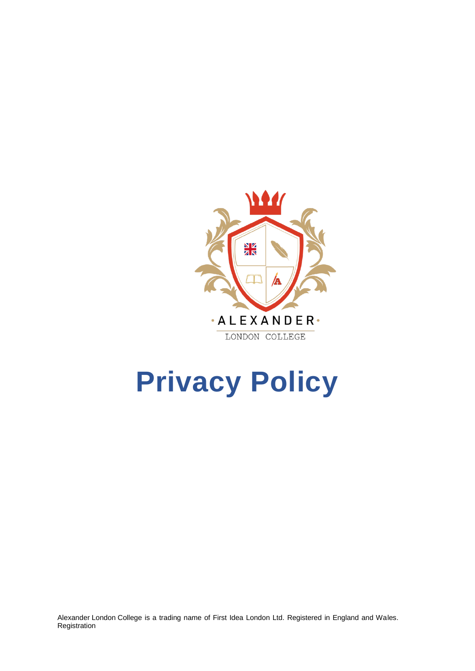

# **Privacy Policy**

Alexander London College is a trading name of First Idea London Ltd. Registered in England and Wales. Registration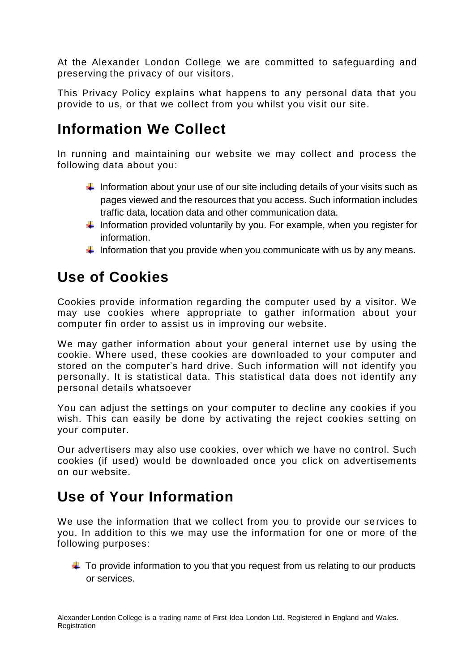At the Alexander London College we are committed to safeguarding and preserving the privacy of our visitors.

This Privacy Policy explains what happens to any personal data that you provide to us, or that we collect from you whilst you visit our site.

#### **Information We Collect**

In running and maintaining our website we may collect and process the following data about you:

- Information about your use of our site including details of your visits such as pages viewed and the resources that you access. Such information includes traffic data, location data and other communication data.
- Information provided voluntarily by you. For example, when you register for information.
- Information that you provide when you communicate with us by any means.

# **Use of Cookies**

Cookies provide information regarding the computer used by a visitor. We may use cookies where appropriate to gather information about your computer fin order to assist us in improving our website.

We may gather information about your general internet use by using the cookie. Where used, these cookies are downloaded to your computer and stored on the computer's hard drive. Such information will not identify you personally. It is statistical data. This statistical data does not identify any personal details whatsoever

You can adjust the settings on your computer to decline any cookies if you wish. This can easily be done by activating the reject cookies setting on your computer.

Our advertisers may also use cookies, over which we have no control. Such cookies (if used) would be downloaded once you click on advertisements on our website.

### **Use of Your Information**

We use the information that we collect from you to provide our services to you. In addition to this we may use the information for one or more of the following purposes:

 $\ddot{\phantom{1}}$  To provide information to you that you request from us relating to our products or services.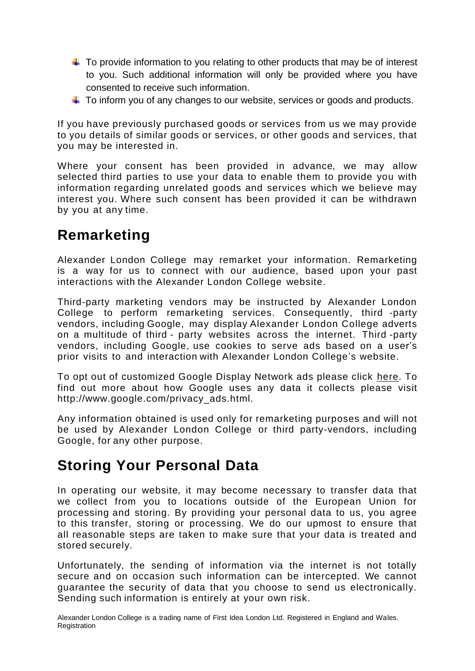- $\ddot{\phantom{1}}$  To provide information to you relating to other products that may be of interest to you. Such additional information will only be provided where you have consented to receive such information.
- $\ddot$  To inform you of any changes to our website, services or goods and products.

If you have previously purchased goods or services from us we may provide to you details of similar goods or services, or other goods and services, that you may be interested in.

Where your consent has been provided in advance, we may allow selected third parties to use your data to enable them to provide you with information regarding unrelated goods and services which we believe may interest you. Where such consent has been provided it can be withdrawn by you at any time.

#### **Remarketing**

Alexander London College may remarket your information. Remarketing is a way for us to connect with our audience, based upon your past interactions with the Alexander London College website.

Third-party marketing vendors may be instructed by Alexander London College to perform remarketing services. Consequently, third -party vendors, including Google, may display Alexander London College adverts on a multitude of third - party websites across the internet. Third -party vendors, including Google, use cookies to serve ads based on a user's prior visits to and interaction with Alexander London College's website.

To opt out of customized Google Display Network ads please click here. To find out more about how Google uses any data it collects please visit [http://www.google.co](http://www.google.c/)m/privacy\_ads.html.

Any information obtained is used only for remarketing purposes and will not be used by Alexander London College or third party-vendors, including Google, for any other purpose.

#### **Storing Your Personal Data**

In operating our website, it may become necessary to transfer data that we collect from you to locations outside of the European Union for processing and storing. By providing your personal data to us, you agree to this transfer, storing or processing. We do our upmost to ensure that all reasonable steps are taken to make sure that your data is treated and stored securely.

Unfortunately, the sending of information via the internet is not totally secure and on occasion such information can be intercepted. We cannot guarantee the security of data that you choose to send us electronically. Sending such information is entirely at your own risk.

Alexander London College is a trading name of First Idea London Ltd. Registered in England and Wales. Registration